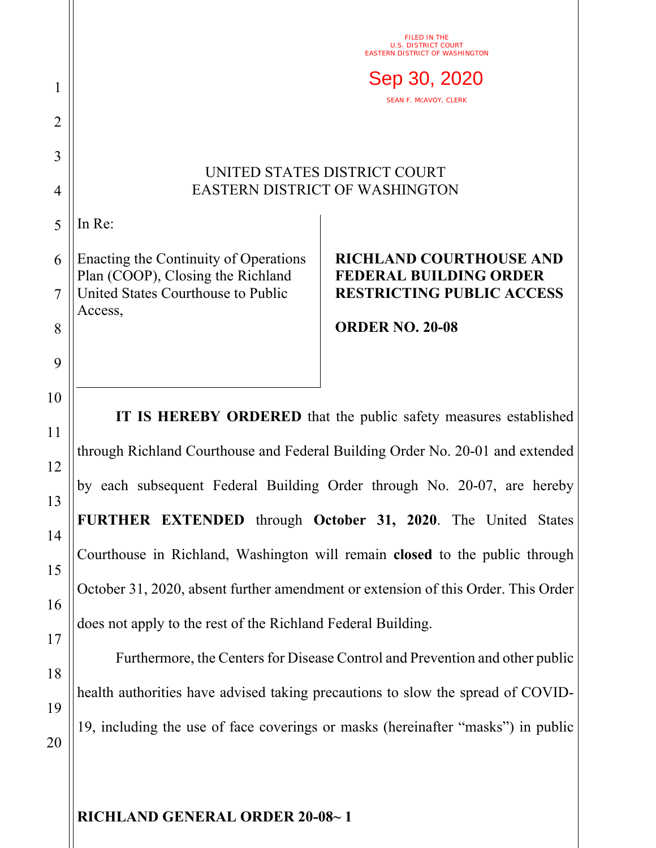|    | FILED IN THE<br><b>TRICT COURT</b><br><b>EASTERN DISTRICT OF WASHINGTON</b>   |                                                                 |
|----|-------------------------------------------------------------------------------|-----------------------------------------------------------------|
| 1  | Sep 30, 2020<br><b>SEAN F. MCAVOY, CLERK</b>                                  |                                                                 |
| 2  |                                                                               |                                                                 |
| 3  | UNITED STATES DISTRICT COURT                                                  |                                                                 |
| 4  | <b>EASTERN DISTRICT OF WASHINGTON</b>                                         |                                                                 |
| 5  | In Re:                                                                        |                                                                 |
| 6  | Enacting the Continuity of Operations<br>Plan (COOP), Closing the Richland    | <b>RICHLAND COURTHOUSE AND</b><br><b>FEDERAL BUILDING ORDER</b> |
| 7  | United States Courthouse to Public<br>Access,                                 | <b>RESTRICTING PUBLIC ACCESS</b>                                |
| 8  |                                                                               | <b>ORDER NO. 20-08</b>                                          |
| 9  |                                                                               |                                                                 |
| 10 |                                                                               |                                                                 |
| 11 | IT IS HEREBY ORDERED that the public safety measures established              |                                                                 |
| 12 | through Richland Courthouse and Federal Building Order No. 20-01 and extended |                                                                 |
| 13 | by each subsequent Federal Building Order through No. 20-07, are hereby       |                                                                 |
| 14 |                                                                               | FURTHER EXTENDED through October 31, 2020. The United States    |

15 16 17 Courthouse in Richland, Washington will remain **closed** to the public through October 31, 2020, absent further amendment or extension of this Order. This Order does not apply to the rest of the Richland Federal Building.

Furthermore, the Centers for Disease Control and Prevention and other public health authorities have advised taking precautions to slow the spread of COVID-19, including the use of face coverings or masks (hereinafter "masks") in public

**RICHLAND GENERAL ORDER 20-08~ 1** 

18

19

20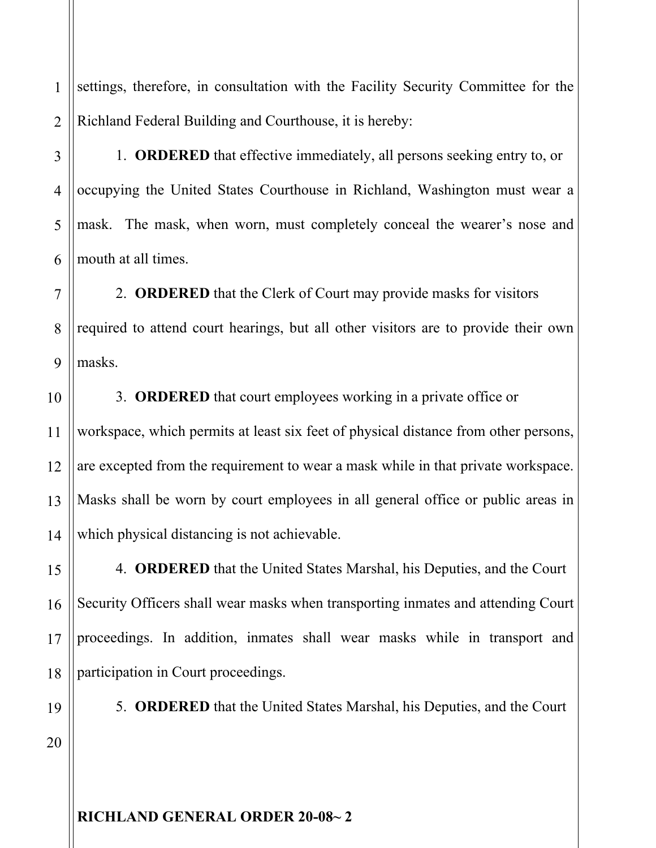1 2 settings, therefore, in consultation with the Facility Security Committee for the Richland Federal Building and Courthouse, it is hereby:

1. **ORDERED** that effective immediately, all persons seeking entry to, or occupying the United States Courthouse in Richland, Washington must wear a mask. The mask, when worn, must completely conceal the wearer's nose and mouth at all times.

7 8 9 2. **ORDERED** that the Clerk of Court may provide masks for visitors required to attend court hearings, but all other visitors are to provide their own masks.

3. **ORDERED** that court employees working in a private office or workspace, which permits at least six feet of physical distance from other persons, are excepted from the requirement to wear a mask while in that private workspace. Masks shall be worn by court employees in all general office or public areas in which physical distancing is not achievable.

4. **ORDERED** that the United States Marshal, his Deputies, and the Court Security Officers shall wear masks when transporting inmates and attending Court proceedings. In addition, inmates shall wear masks while in transport and participation in Court proceedings.

19 20

3

4

5

6

10

11

12

13

14

15

16

17

18

5. **ORDERED** that the United States Marshal, his Deputies, and the Court

**RICHLAND GENERAL ORDER 20-08~ 2**